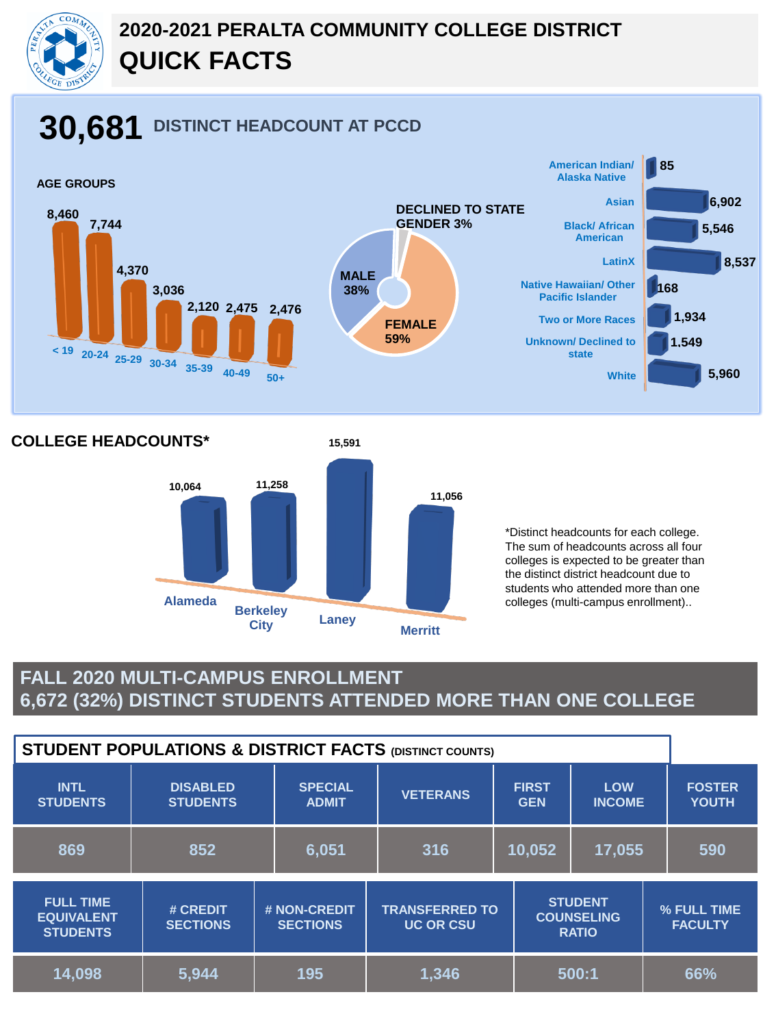

# **2020-2021 PERALTA COMMUNITY COLLEGE DISTRICT QUICK FACTS**

# **30,681 DISTINCT HEADCOUNT AT PCCD**



**COLLEGE HEADCOUNTS\***



\*Distinct headcounts for each college. The sum of headcounts across all four colleges is expected to be greater than the distinct district headcount due to students who attended more than one colleges (multi-campus enrollment)..

#### **FALL 2020 MULTI-CAMPUS ENROLLMENT 6,672 (32%) DISTINCT STUDENTS ATTENDED MORE THAN ONE COLLEGE**

| <b>STUDENT POPULATIONS &amp; DISTRICT FACTS (DISTINCT COUNTS)</b> |                                    |                                 |                                           |                            |                                                     |  |                               |
|-------------------------------------------------------------------|------------------------------------|---------------------------------|-------------------------------------------|----------------------------|-----------------------------------------------------|--|-------------------------------|
| <b>INTL</b><br><b>STUDENTS</b>                                    | <b>DISABLED</b><br><b>STUDENTS</b> | <b>SPECIAL</b><br><b>ADMIT</b>  | <b>VETERANS</b>                           | <b>FIRST</b><br><b>GEN</b> | <b>LOW</b><br><b>INCOME</b>                         |  | <b>FOSTER</b><br><b>YOUTH</b> |
| 869                                                               | 852                                | 6,051                           | 316                                       | 10,052                     | 17,055                                              |  | 590                           |
| <b>FULL TIME</b><br><b>EQUIVALENT</b><br><b>STUDENTS</b>          | # CREDIT<br><b>SECTIONS</b>        | # NON-CREDIT<br><b>SECTIONS</b> | <b>TRANSFERRED TO</b><br><b>UC OR CSU</b> |                            | <b>STUDENT</b><br><b>COUNSELING</b><br><b>RATIO</b> |  | % FULL TIME<br><b>FACULTY</b> |
| 14,098                                                            | 5,944                              | 195                             | 1,346                                     |                            | 500:1                                               |  | 66%                           |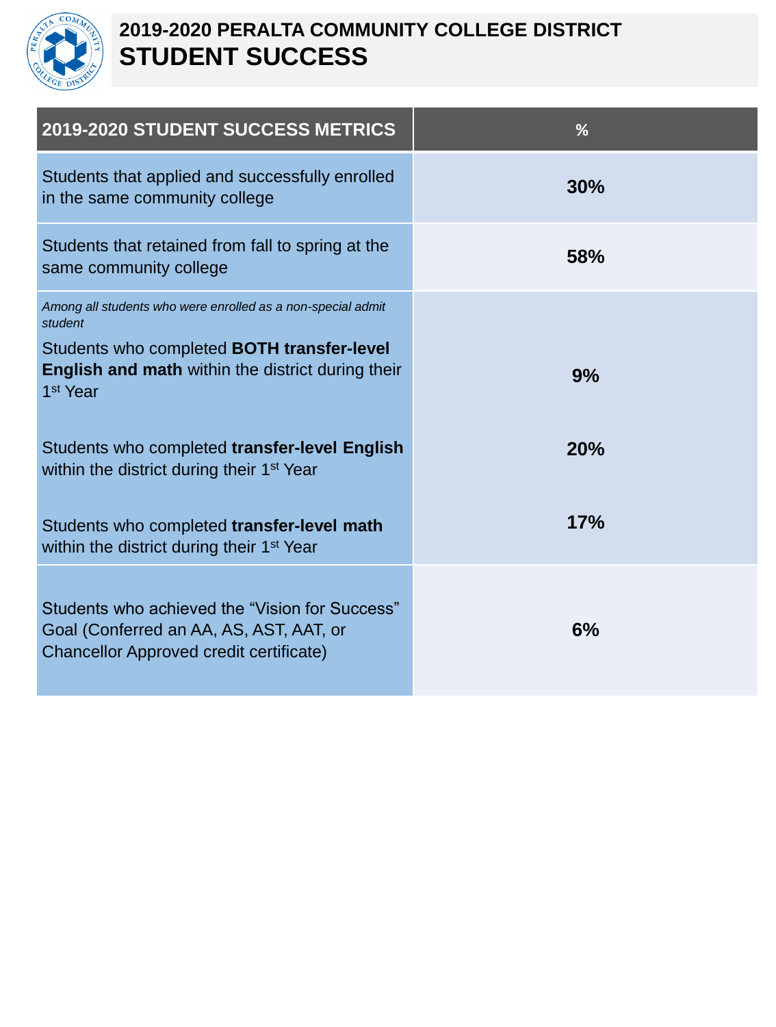

### **2019-2020 PERALTA COMMUNITY COLLEGE DISTRICT STUDENT SUCCESS**

| 2019-2020 STUDENT SUCCESS METRICS                                                                                                     | %          |
|---------------------------------------------------------------------------------------------------------------------------------------|------------|
| Students that applied and successfully enrolled<br>in the same community college                                                      | 30%        |
| Students that retained from fall to spring at the<br>same community college                                                           | <b>58%</b> |
| Among all students who were enrolled as a non-special admit<br>student                                                                |            |
| Students who completed <b>BOTH transfer-level</b><br><b>English and math</b> within the district during their<br>1 <sup>st</sup> Year | 9%         |
| Students who completed transfer-level English<br>within the district during their 1 <sup>st</sup> Year                                | 20%        |
| Students who completed transfer-level math<br>within the district during their 1 <sup>st</sup> Year                                   | 17%        |
| Students who achieved the "Vision for Success"<br>Goal (Conferred an AA, AS, AST, AAT, or<br>Chancellor Approved credit certificate)  | 6%         |